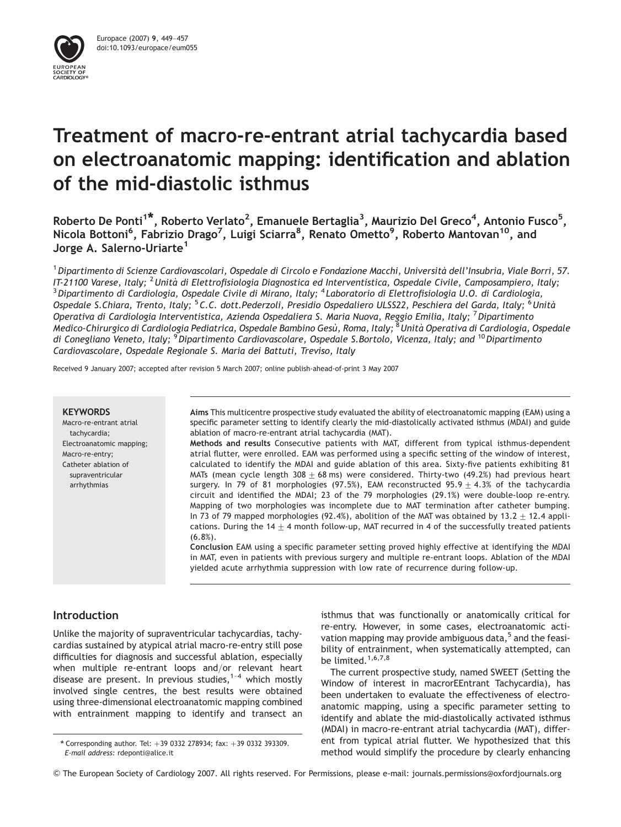

# Treatment of macro-re-entrant atrial tachycardia based on electroanatomic mapping: identification and ablation of the mid-diastolic isthmus

Roberto De Ponti<sup>1\*</sup>, Roberto Verlato<sup>2</sup>, Emanuele Bertaglia<sup>3</sup>, Maurizio Del Greco<sup>4</sup>, Antonio Fusco<sup>5</sup>, Nicola Bottoni<sup>6</sup>, Fabrizio Drago<sup>7</sup>, Luigi Sciarra<sup>8</sup>, Renato Ometto<sup>9</sup>, Roberto Mantovan<sup>10</sup>, and Jorge A. Salerno-Uriarte<sup>1</sup>

<sup>1</sup> Dipartimento di Scienze Cardiovascolari, Ospedale di Circolo e Fondazione Macchi, Università dell'Insubria, Viale Borri, 57.<br>IT-21100 Varese, Italy; <sup>2</sup> Unità di Elettrofisiologia Diagnostica ed Interventistica, Ospeda <sup>3</sup> Dipartimento di Cardiologia, Ospedale Civile di Mirano, Italy; <sup>4</sup> Laboratorio di Elettrofisiologia U.O. di Cardiologia, Ospedale S.Chiara, Trento, Italy; <sup>5</sup>C.C. dott.Pederzoli, Presidio Ospedaliero ULSS22, Peschiera del Garda, Italy; <sup>6</sup>Unità Operativa di Cardiologia Interventistica, Azienda Ospedaliera S. Maria Nuova, Reggio Emilia, Italy; <sup>7</sup>Dipartimento Medico-Chirurgico di Cardiologia Pediatrica, Ospedale Bambino Gesù, Roma, Italy; <sup>8</sup>Unità Operativa di Cardiologia, Ospedale di Conegliano Veneto, Italy; <sup>9</sup>Dipartimento Cardiovascolare, Ospedale S.Bortolo, Vicenza, Italy; and <sup>10</sup>Dipartimento Cardiovascolare, Ospedale Regionale S. Maria dei Battuti, Treviso, Italy

Received 9 January 2007; accepted after revision 5 March 2007; online publish-ahead-of-print 3 May 2007

#### **KEYWORDS**

Macro-re-entrant atrial tachycardia; Electroanatomic mapping; Macro-re-entry; Catheter ablation of supraventricular arrhythmias

Aims This multicentre prospective study evaluated the ability of electroanatomic mapping (EAM) using a specific parameter setting to identify clearly the mid-diastolically activated isthmus (MDAI) and guide ablation of macro-re-entrant atrial tachycardia (MAT).

Methods and results Consecutive patients with MAT, different from typical isthmus-dependent atrial flutter, were enrolled. EAM was performed using a specific setting of the window of interest, calculated to identify the MDAI and guide ablation of this area. Sixty-five patients exhibiting 81 MATs (mean cycle length  $308 + 68$  ms) were considered. Thirty-two (49.2%) had previous heart surgery. In 79 of 81 morphologies (97.5%), EAM reconstructed 95.9  $\pm$  4.3% of the tachycardia circuit and identified the MDAI; 23 of the 79 morphologies (29.1%) were double-loop re-entry. Mapping of two morphologies was incomplete due to MAT termination after catheter bumping. In 73 of 79 mapped morphologies (92.4%), abolition of the MAT was obtained by 13.2  $\pm$  12.4 applications. During the 14  $\pm$  4 month follow-up, MAT recurred in 4 of the successfully treated patients (6.8%).

Conclusion EAM using a specific parameter setting proved highly effective at identifying the MDAI in MAT, even in patients with previous surgery and multiple re-entrant loops. Ablation of the MDAI yielded acute arrhythmia suppression with low rate of recurrence during follow-up.

# Introduction

Unlike the majority of supraventricular tachycardias, tachycardias sustained by atypical atrial macro-re-entry still pose difficulties for diagnosis and successful ablation, especially when multiple re-entrant loops and/or relevant heart disease are present. In previous studies,  $1-4$  which mostly involved single centres, the best results were obtained using three-dimensional electroanatomic mapping combined with entrainment mapping to identify and transect an isthmus that was functionally or anatomically critical for re-entry. However, in some cases, electroanatomic activation mapping may provide ambiguous data, $5$  and the feasibility of entrainment, when systematically attempted, can be limited.<sup>1,6,7,8</sup>

The current prospective study, named SWEET (Setting the Window of interest in macrorEEntrant Tachycardia), has been undertaken to evaluate the effectiveness of electroanatomic mapping, using a specific parameter setting to identify and ablate the mid-diastolically activated isthmus (MDAI) in macro-re-entrant atrial tachycardia (MAT), different from typical atrial flutter. We hypothesized that this method would simplify the procedure by clearly enhancing

& The European Society of Cardiology 2007. All rights reserved. For Permissions, please e-mail: journals.permissions@oxfordjournals.org

<sup>\*</sup> Corresponding author. Tel:  $+39$  0332 278934; fax:  $+39$  0332 393309. E-mail address: rdeponti@alice.it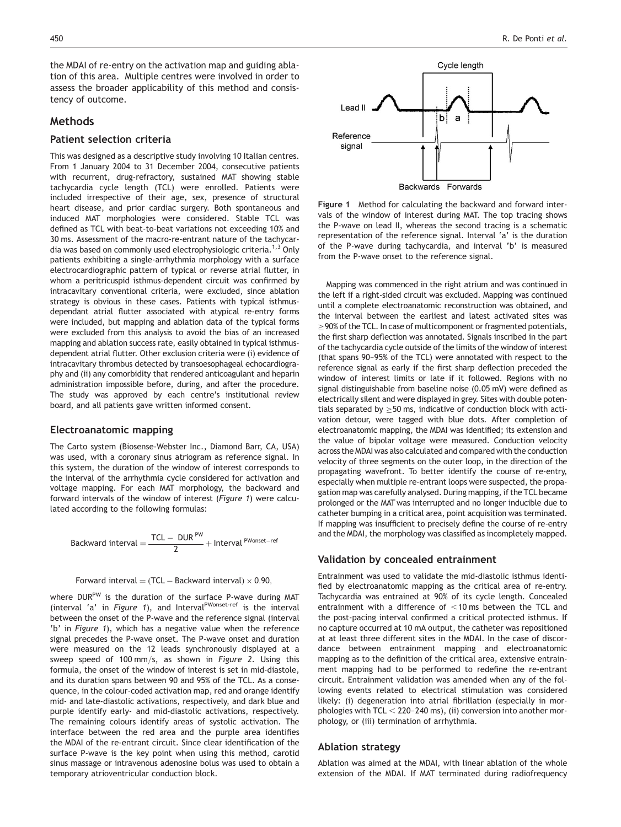the MDAI of re-entry on the activation map and guiding ablation of this area. Multiple centres were involved in order to assess the broader applicability of this method and consistency of outcome.

# Methods

# Patient selection criteria

This was designed as a descriptive study involving 10 Italian centres. From 1 January 2004 to 31 December 2004, consecutive patients with recurrent, drug-refractory, sustained MAT showing stable tachycardia cycle length (TCL) were enrolled. Patients were included irrespective of their age, sex, presence of structural heart disease, and prior cardiac surgery. Both spontaneous and induced MAT morphologies were considered. Stable TCL was defined as TCL with beat-to-beat variations not exceeding 10% and 30 ms. Assessment of the macro-re-entrant nature of the tachycardia was based on commonly used electrophysiologic criteria.<sup>1,3</sup> Only patients exhibiting a single-arrhythmia morphology with a surface electrocardiographic pattern of typical or reverse atrial flutter, in whom a peritricuspid isthmus-dependent circuit was confirmed by intracavitary conventional criteria, were excluded, since ablation strategy is obvious in these cases. Patients with typical isthmusdependant atrial flutter associated with atypical re-entry forms were included, but mapping and ablation data of the typical forms were excluded from this analysis to avoid the bias of an increased mapping and ablation success rate, easily obtained in typical isthmusdependent atrial flutter. Other exclusion criteria were (i) evidence of intracavitary thrombus detected by transoesophageal echocardiography and (ii) any comorbidity that rendered anticoagulant and heparin administration impossible before, during, and after the procedure. The study was approved by each centre's institutional review board, and all patients gave written informed consent.

#### Electroanatomic mapping

The Carto system (Biosense-Webster Inc., Diamond Barr, CA, USA) was used, with a coronary sinus atriogram as reference signal. In this system, the duration of the window of interest corresponds to the interval of the arrhythmia cycle considered for activation and voltage mapping. For each MAT morphology, the backward and forward intervals of the window of interest (Figure 1) were calculated according to the following formulas:

$$
Backward\ interval = \frac{TCL - DUR^{PW}}{2} + Interval^{PWonset-ref}
$$

#### Forward interval  $=$  (TCL  $-$  Backward interval)  $\times$  0.90,

where DUR<sup>PW</sup> is the duration of the surface P-wave during MAT (interval 'a' in Figure 1), and Interval<sup>PWonset-ref</sup> is the interval between the onset of the P-wave and the reference signal (interval 'b' in Figure 1), which has a negative value when the reference signal precedes the P-wave onset. The P-wave onset and duration were measured on the 12 leads synchronously displayed at a sweep speed of 100 mm/s, as shown in Figure 2. Using this formula, the onset of the window of interest is set in mid-diastole, and its duration spans between 90 and 95% of the TCL. As a consequence, in the colour-coded activation map, red and orange identify mid- and late-diastolic activations, respectively, and dark blue and purple identify early- and mid-diastolic activations, respectively. The remaining colours identify areas of systolic activation. The interface between the red area and the purple area identifies the MDAI of the re-entrant circuit. Since clear identification of the surface P-wave is the key point when using this method, carotid sinus massage or intravenous adenosine bolus was used to obtain a temporary atrioventricular conduction block.



Figure 1 Method for calculating the backward and forward intervals of the window of interest during MAT. The top tracing shows the P-wave on lead II, whereas the second tracing is a schematic representation of the reference signal. Interval 'a' is the duration of the P-wave during tachycardia, and interval 'b' is measured from the P-wave onset to the reference signal.

Mapping was commenced in the right atrium and was continued in the left if a right-sided circuit was excluded. Mapping was continued until a complete electroanatomic reconstruction was obtained, and the interval between the earliest and latest activated sites was  $\geq$  90% of the TCL. In case of multicomponent or fragmented potentials, the first sharp deflection was annotated. Signals inscribed in the part of the tachycardia cycle outside of the limits of the window of interest (that spans 90–95% of the TCL) were annotated with respect to the reference signal as early if the first sharp deflection preceded the window of interest limits or late if it followed. Regions with no signal distinguishable from baseline noise (0.05 mV) were defined as electrically silent and were displayed in grey. Sites with double potentials separated by  $\geq$  50 ms, indicative of conduction block with activation detour, were tagged with blue dots. After completion of electroanatomic mapping, the MDAI was identified; its extension and the value of bipolar voltage were measured. Conduction velocity across the MDAI was also calculated and compared with the conduction velocity of three segments on the outer loop, in the direction of the propagating wavefront. To better identify the course of re-entry, especially when multiple re-entrant loops were suspected, the propagation map was carefully analysed. During mapping, if the TCL became prolonged or the MAT was interrupted and no longer inducible due to catheter bumping in a critical area, point acquisition was terminated. If mapping was insufficient to precisely define the course of re-entry and the MDAI, the morphology was classified as incompletely mapped.

#### Validation by concealed entrainment

Entrainment was used to validate the mid-diastolic isthmus identified by electroanatomic mapping as the critical area of re-entry. Tachycardia was entrained at 90% of its cycle length. Concealed entrainment with a difference of  $<$ 10 ms between the TCL and the post-pacing interval confirmed a critical protected isthmus. If no capture occurred at 10 mA output, the catheter was repositioned at at least three different sites in the MDAI. In the case of discordance between entrainment mapping and electroanatomic mapping as to the definition of the critical area, extensive entrainment mapping had to be performed to redefine the re-entrant circuit. Entrainment validation was amended when any of the following events related to electrical stimulation was considered likely: (i) degeneration into atrial fibrillation (especially in morphologies with TCL  $<$  220–240 ms), (ii) conversion into another morphology, or (iii) termination of arrhythmia.

#### Ablation strategy

Ablation was aimed at the MDAI, with linear ablation of the whole extension of the MDAI. If MAT terminated during radiofrequency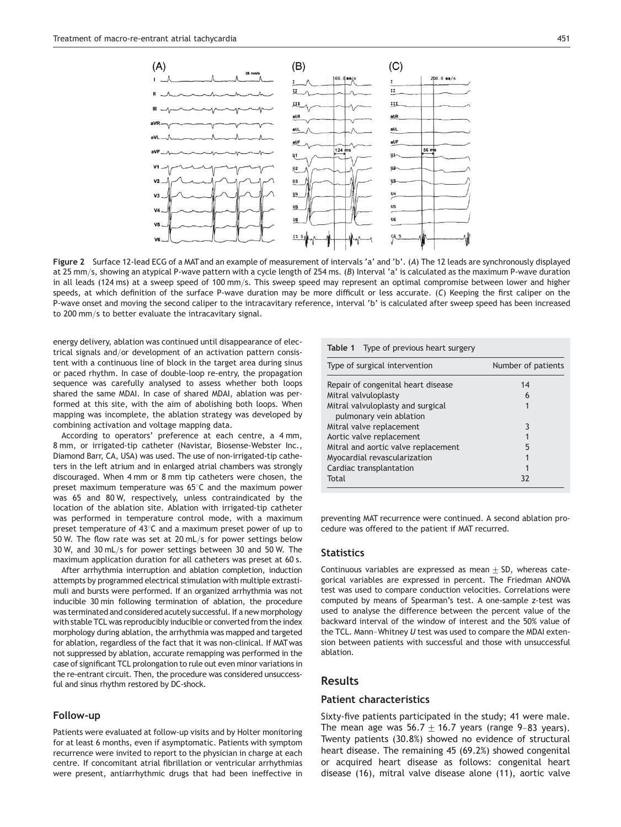

Figure 2 Surface 12-lead ECG of a MAT and an example of measurement of intervals 'a' and 'b'. (A) The 12 leads are synchronously displayed at 25 mm/s, showing an atypical P-wave pattern with a cycle length of 254 ms. (B) Interval 'a' is calculated as the maximum P-wave duration in all leads (124 ms) at a sweep speed of 100 mm/s. This sweep speed may represent an optimal compromise between lower and higher speeds, at which definition of the surface P-wave duration may be more difficult or less accurate. (C) Keeping the first caliper on the P-wave onset and moving the second caliper to the intracavitary reference, interval 'b' is calculated after sweep speed has been increased to 200 mm/s to better evaluate the intracavitary signal.

energy delivery, ablation was continued until disappearance of electrical signals and/or development of an activation pattern consistent with a continuous line of block in the target area during sinus or paced rhythm. In case of double-loop re-entry, the propagation sequence was carefully analysed to assess whether both loops shared the same MDAI. In case of shared MDAI, ablation was performed at this site, with the aim of abolishing both loops. When mapping was incomplete, the ablation strategy was developed by combining activation and voltage mapping data.

According to operators' preference at each centre, a 4 mm, 8 mm, or irrigated-tip catheter (Navistar, Biosense-Webster Inc., Diamond Barr, CA, USA) was used. The use of non-irrigated-tip catheters in the left atrium and in enlarged atrial chambers was strongly discouraged. When 4 mm or 8 mm tip catheters were chosen, the preset maximum temperature was  $65^{\circ}$ C and the maximum power was 65 and 80 W, respectively, unless contraindicated by the location of the ablation site. Ablation with irrigated-tip catheter was performed in temperature control mode, with a maximum preset temperature of  $43^{\circ}$ C and a maximum preset power of up to 50 W. The flow rate was set at 20 mL/s for power settings below 30 W, and 30 mL/s for power settings between 30 and 50 W. The maximum application duration for all catheters was preset at 60 s.

After arrhythmia interruption and ablation completion, induction attempts by programmed electrical stimulation with multiple extrastimuli and bursts were performed. If an organized arrhythmia was not inducible 30 min following termination of ablation, the procedure was terminated and considered acutely successful. If a new morphology with stable TCL was reproducibly inducible or converted from the index morphology during ablation, the arrhythmia was mapped and targeted for ablation, regardless of the fact that it was non-clinical. If MAT was not suppressed by ablation, accurate remapping was performed in the case of significant TCL prolongation to rule out even minor variations in the re-entrant circuit. Then, the procedure was considered unsuccessful and sinus rhythm restored by DC-shock.

## Follow-up

Patients were evaluated at follow-up visits and by Holter monitoring for at least 6 months, even if asymptomatic. Patients with symptom recurrence were invited to report to the physician in charge at each centre. If concomitant atrial fibrillation or ventricular arrhythmias were present, antiarrhythmic drugs that had been ineffective in

| Type of previous heart surgery<br>Table 1 |                    |
|-------------------------------------------|--------------------|
| Type of surgical intervention             | Number of patients |
| Repair of congenital heart disease        | 14                 |
| Mitral valvuloplasty                      | 6                  |
| Mitral valvuloplasty and surgical         |                    |
| pulmonary vein ablation                   |                    |
| Mitral valve replacement                  | 3                  |
| Aortic valve replacement                  |                    |
| Mitral and aortic valve replacement       | 5                  |
| Myocardial revascularization              |                    |
| Cardiac transplantation                   |                    |
| Total                                     | 37                 |

preventing MAT recurrence were continued. A second ablation procedure was offered to the patient if MAT recurred.

#### **Statistics**

Continuous variables are expressed as mean  $\pm$  SD, whereas categorical variables are expressed in percent. The Friedman ANOVA test was used to compare conduction velocities. Correlations were computed by means of Spearman's test. A one-sample z-test was used to analyse the difference between the percent value of the backward interval of the window of interest and the 50% value of the TCL. Mann–Whitney <sup>U</sup> test was used to compare the MDAI extension between patients with successful and those with unsuccessful ablation.

# Results

# Patient characteristics

Sixty-five patients participated in the study; 41 were male. The mean age was  $56.7 \pm 16.7$  years (range 9-83 years). Twenty patients (30.8%) showed no evidence of structural heart disease. The remaining 45 (69.2%) showed congenital or acquired heart disease as follows: congenital heart disease (16), mitral valve disease alone (11), aortic valve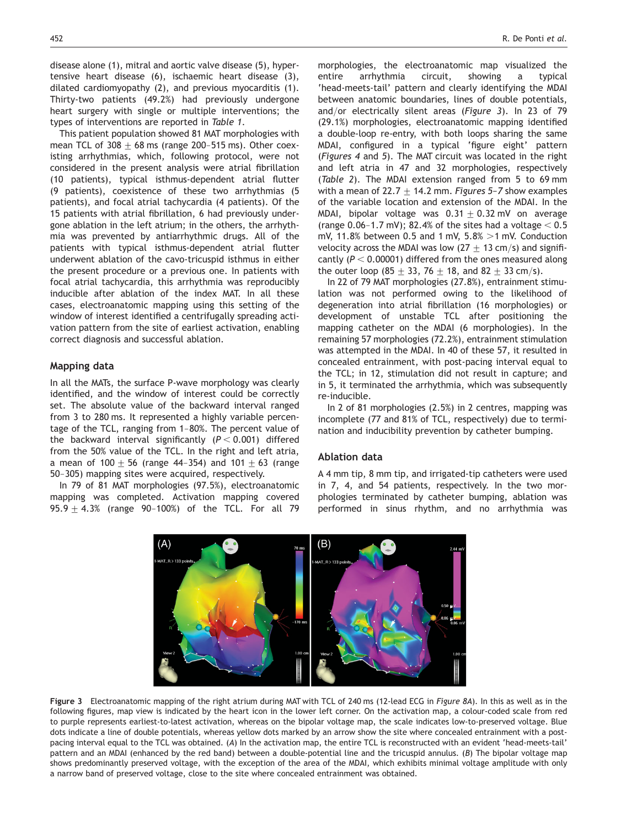disease alone (1), mitral and aortic valve disease (5), hypertensive heart disease (6), ischaemic heart disease (3), dilated cardiomyopathy (2), and previous myocarditis (1). Thirty-two patients (49.2%) had previously undergone heart surgery with single or multiple interventions; the types of interventions are reported in Table 1.

This patient population showed 81 MAT morphologies with mean TCL of 308  $\pm$  68 ms (range 200-515 ms). Other coexisting arrhythmias, which, following protocol, were not considered in the present analysis were atrial fibrillation (10 patients), typical isthmus-dependent atrial flutter (9 patients), coexistence of these two arrhythmias (5 patients), and focal atrial tachycardia (4 patients). Of the 15 patients with atrial fibrillation, 6 had previously undergone ablation in the left atrium; in the others, the arrhythmia was prevented by antiarrhythmic drugs. All of the patients with typical isthmus-dependent atrial flutter underwent ablation of the cavo-tricuspid isthmus in either the present procedure or a previous one. In patients with focal atrial tachycardia, this arrhythmia was reproducibly inducible after ablation of the index MAT. In all these cases, electroanatomic mapping using this setting of the window of interest identified a centrifugally spreading activation pattern from the site of earliest activation, enabling correct diagnosis and successful ablation.

#### Mapping data

In all the MATs, the surface P-wave morphology was clearly identified, and the window of interest could be correctly set. The absolute value of the backward interval ranged from 3 to 280 ms. It represented a highly variable percentage of the TCL, ranging from 1–80%. The percent value of the backward interval significantly  $(P < 0.001)$  differed from the 50% value of the TCL. In the right and left atria, a mean of  $100 + 56$  (range 44-354) and  $101 + 63$  (range 50–305) mapping sites were acquired, respectively.

In 79 of 81 MAT morphologies (97.5%), electroanatomic mapping was completed. Activation mapping covered 95.9  $\pm$  4.3% (range 90-100%) of the TCL. For all 79 morphologies, the electroanatomic map visualized the entire arrhythmia circuit, showing a typical 'head-meets-tail' pattern and clearly identifying the MDAI between anatomic boundaries, lines of double potentials, and/or electrically silent areas (Figure 3). In 23 of 79 (29.1%) morphologies, electroanatomic mapping identified a double-loop re-entry, with both loops sharing the same MDAI, configured in a typical 'figure eight' pattern (Figures 4 and 5). The MAT circuit was located in the right and left atria in 47 and 32 morphologies, respectively (Table 2). The MDAI extension ranged from 5 to 69 mm with a mean of 22.7  $\pm$  14.2 mm. Figures 5-7 show examples of the variable location and extension of the MDAI. In the MDAI, bipolar voltage was  $0.31 \pm 0.32$  mV on average (range 0.06–1.7 mV); 82.4% of the sites had a voltage  $<$  0.5 mV, 11.8% between 0.5 and 1 mV,  $5.8\% > 1$  mV. Conduction velocity across the MDAI was low  $(27 + 13 \text{ cm/s})$  and significantly ( $P < 0.00001$ ) differed from the ones measured along the outer loop (85  $\pm$  33, 76  $\pm$  18, and 82  $\pm$  33 cm/s).

In 22 of 79 MAT morphologies (27.8%), entrainment stimulation was not performed owing to the likelihood of degeneration into atrial fibrillation (16 morphologies) or development of unstable TCL after positioning the mapping catheter on the MDAI (6 morphologies). In the remaining 57 morphologies (72.2%), entrainment stimulation was attempted in the MDAI. In 40 of these 57, it resulted in concealed entrainment, with post-pacing interval equal to the TCL; in 12, stimulation did not result in capture; and in 5, it terminated the arrhythmia, which was subsequently re-inducible.

In 2 of 81 morphologies (2.5%) in 2 centres, mapping was incomplete (77 and 81% of TCL, respectively) due to termination and inducibility prevention by catheter bumping.

## Ablation data

A 4 mm tip, 8 mm tip, and irrigated-tip catheters were used in 7, 4, and 54 patients, respectively. In the two morphologies terminated by catheter bumping, ablation was performed in sinus rhythm, and no arrhythmia was



Figure 3 Electroanatomic mapping of the right atrium during MAT with TCL of 240 ms (12-lead ECG in Figure 8A). In this as well as in the following figures, map view is indicated by the heart icon in the lower left corner. On the activation map, a colour-coded scale from red to purple represents earliest-to-latest activation, whereas on the bipolar voltage map, the scale indicates low-to-preserved voltage. Blue dots indicate a line of double potentials, whereas yellow dots marked by an arrow show the site where concealed entrainment with a postpacing interval equal to the TCL was obtained. (A) In the activation map, the entire TCL is reconstructed with an evident 'head-meets-tail' pattern and an MDAI (enhanced by the red band) between a double-potential line and the tricuspid annulus. (B) The bipolar voltage map shows predominantly preserved voltage, with the exception of the area of the MDAI, which exhibits minimal voltage amplitude with only a narrow band of preserved voltage, close to the site where concealed entrainment was obtained.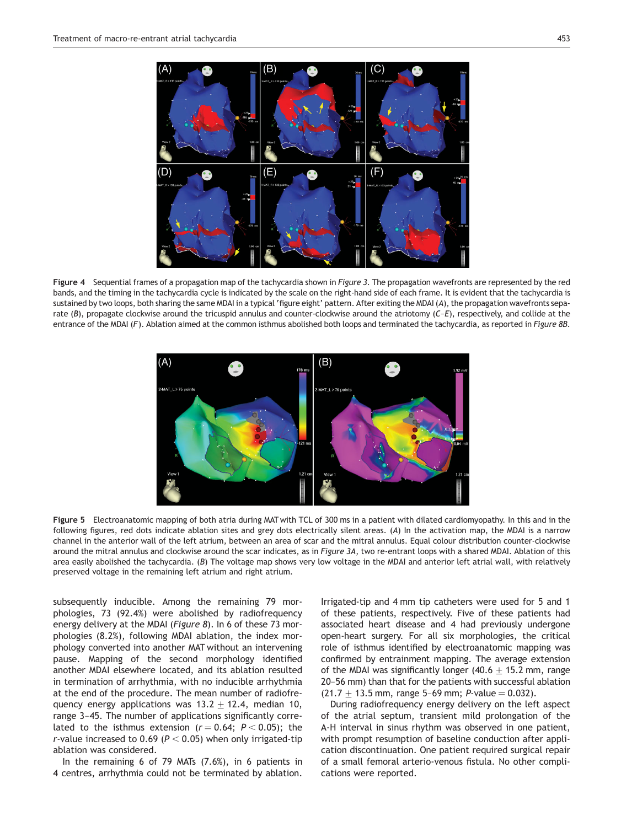

Figure 4 Sequential frames of a propagation map of the tachycardia shown in Figure 3. The propagation wavefronts are represented by the red bands, and the timing in the tachycardia cycle is indicated by the scale on the right-hand side of each frame. It is evident that the tachycardia is sustained by two loops, both sharing the same MDAI in a typical 'figure eight' pattern. After exiting the MDAI (A), the propagation wavefronts separate  $(B)$ , propagate clockwise around the tricuspid annulus and counter-clockwise around the atriotomy  $(C-E)$ , respectively, and collide at the entrance of the MDAI (F). Ablation aimed at the common isthmus abolished both loops and terminated the tachycardia, as reported in Figure 8B.



Figure 5 Electroanatomic mapping of both atria during MAT with TCL of 300 ms in a patient with dilated cardiomyopathy. In this and in the following figures, red dots indicate ablation sites and grey dots electrically silent areas. (A) In the activation map, the MDAI is a narrow channel in the anterior wall of the left atrium, between an area of scar and the mitral annulus. Equal colour distribution counter-clockwise around the mitral annulus and clockwise around the scar indicates, as in Figure 3A, two re-entrant loops with a shared MDAI. Ablation of this area easily abolished the tachycardia. (B) The voltage map shows very low voltage in the MDAI and anterior left atrial wall, with relatively preserved voltage in the remaining left atrium and right atrium.

subsequently inducible. Among the remaining 79 morphologies, 73 (92.4%) were abolished by radiofrequency energy delivery at the MDAI (Figure 8). In 6 of these 73 morphologies (8.2%), following MDAI ablation, the index morphology converted into another MAT without an intervening pause. Mapping of the second morphology identified another MDAI elsewhere located, and its ablation resulted in termination of arrhythmia, with no inducible arrhythmia at the end of the procedure. The mean number of radiofrequency energy applications was  $13.2 \pm 12.4$ , median 10, range 3–45. The number of applications significantly correlated to the isthmus extension ( $r = 0.64$ ;  $P < 0.05$ ); the r-value increased to 0.69 ( $P < 0.05$ ) when only irrigated-tip ablation was considered.

In the remaining 6 of 79 MATs (7.6%), in 6 patients in 4 centres, arrhythmia could not be terminated by ablation. Irrigated-tip and 4 mm tip catheters were used for 5 and 1 of these patients, respectively. Five of these patients had associated heart disease and 4 had previously undergone open-heart surgery. For all six morphologies, the critical role of isthmus identified by electroanatomic mapping was confirmed by entrainment mapping. The average extension of the MDAI was significantly longer (40.6  $\pm$  15.2 mm, range 20–56 mm) than that for the patients with successful ablation  $(21.7 + 13.5$  mm, range 5-69 mm; P-value = 0.032).

During radiofrequency energy delivery on the left aspect of the atrial septum, transient mild prolongation of the A-H interval in sinus rhythm was observed in one patient, with prompt resumption of baseline conduction after application discontinuation. One patient required surgical repair of a small femoral arterio-venous fistula. No other complications were reported.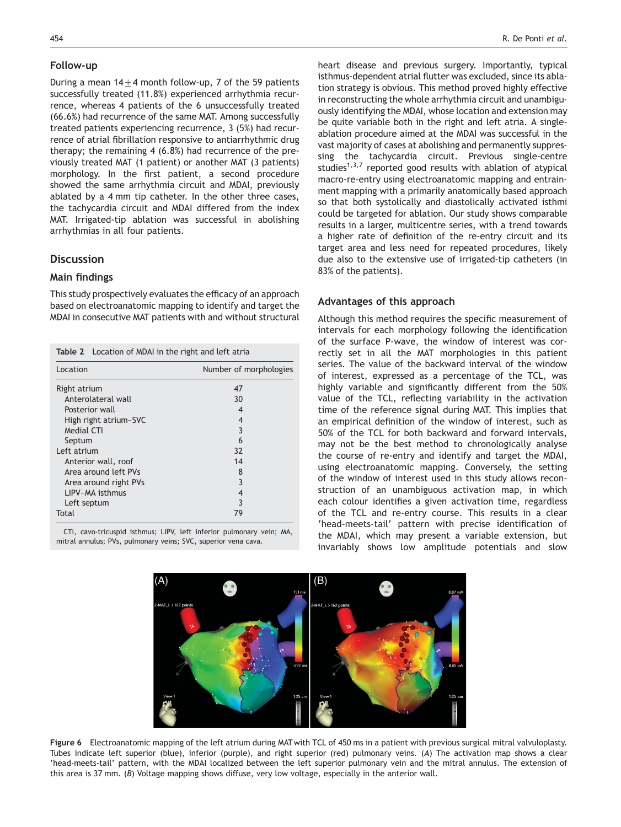# Follow-up

During a mean  $14+4$  month follow-up, 7 of the 59 patients successfully treated (11.8%) experienced arrhythmia recurrence, whereas 4 patients of the 6 unsuccessfully treated (66.6%) had recurrence of the same MAT. Among successfully treated patients experiencing recurrence, 3 (5%) had recurrence of atrial fibrillation responsive to antiarrhythmic drug therapy; the remaining 4 (6.8%) had recurrence of the previously treated MAT (1 patient) or another MAT (3 patients) morphology. In the first patient, a second procedure showed the same arrhythmia circuit and MDAI, previously ablated by a 4 mm tip catheter. In the other three cases, the tachycardia circuit and MDAI differed from the index MAT. Irrigated-tip ablation was successful in abolishing arrhythmias in all four patients.

# **Discussion**

# Main findings

This study prospectively evaluates the efficacy of an approach based on electroanatomic mapping to identify and target the MDAI in consecutive MAT patients with and without structural

| <b>Table 2</b> Location of MDAI in the right and left atria |                        |
|-------------------------------------------------------------|------------------------|
| Location                                                    | Number of morphologies |
| Right atrium                                                | 47                     |
| Anterolateral wall                                          | 30                     |
| Posterior wall                                              | 4                      |
| High right atrium-SVC                                       | 4                      |
| Medial CTI                                                  | 3                      |
| Septum                                                      | 6                      |
| Left atrium                                                 | 32                     |
| Anterior wall, roof                                         | 14                     |
| Area around left PVs                                        | 8                      |
| Area around right PVs                                       | 3                      |
| LIPV-MA isthmus                                             | 4                      |
| Left septum                                                 | 3                      |
| Total                                                       | 79                     |

CTI, cavo-tricuspid isthmus; LIPV, left inferior pulmonary vein; MA, mitral annulus; PVs, pulmonary veins; SVC, superior vena cava.

heart disease and previous surgery. Importantly, typical isthmus-dependent atrial flutter was excluded, since its ablation strategy is obvious. This method proved highly effective in reconstructing the whole arrhythmia circuit and unambiguously identifying the MDAI, whose location and extension may be quite variable both in the right and left atria. A singleablation procedure aimed at the MDAI was successful in the vast majority of cases at abolishing and permanently suppressing the tachycardia circuit. Previous single-centre studies<sup>1,3,7</sup> reported good results with ablation of atypical macro-re-entry using electroanatomic mapping and entrainment mapping with a primarily anatomically based approach so that both systolically and diastolically activated isthmi could be targeted for ablation. Our study shows comparable results in a larger, multicentre series, with a trend towards a higher rate of definition of the re-entry circuit and its target area and less need for repeated procedures, likely due also to the extensive use of irrigated-tip catheters (in 83% of the patients).

# Advantages of this approach

Although this method requires the specific measurement of intervals for each morphology following the identification of the surface P-wave, the window of interest was correctly set in all the MAT morphologies in this patient series. The value of the backward interval of the window of interest, expressed as a percentage of the TCL, was highly variable and significantly different from the 50% value of the TCL, reflecting variability in the activation time of the reference signal during MAT. This implies that an empirical definition of the window of interest, such as 50% of the TCL for both backward and forward intervals, may not be the best method to chronologically analyse the course of re-entry and identify and target the MDAI, using electroanatomic mapping. Conversely, the setting of the window of interest used in this study allows reconstruction of an unambiguous activation map, in which each colour identifies a given activation time, regardless of the TCL and re-entry course. This results in a clear 'head-meets-tail' pattern with precise identification of the MDAI, which may present a variable extension, but invariably shows low amplitude potentials and slow



Figure 6 Electroanatomic mapping of the left atrium during MAT with TCL of 450 ms in a patient with previous surgical mitral valvuloplasty. Tubes indicate left superior (blue), inferior (purple), and right superior (red) pulmonary veins. (A) The activation map shows a clear 'head-meets-tail' pattern, with the MDAI localized between the left superior pulmonary vein and the mitral annulus. The extension of this area is 37 mm. (B) Voltage mapping shows diffuse, very low voltage, especially in the anterior wall.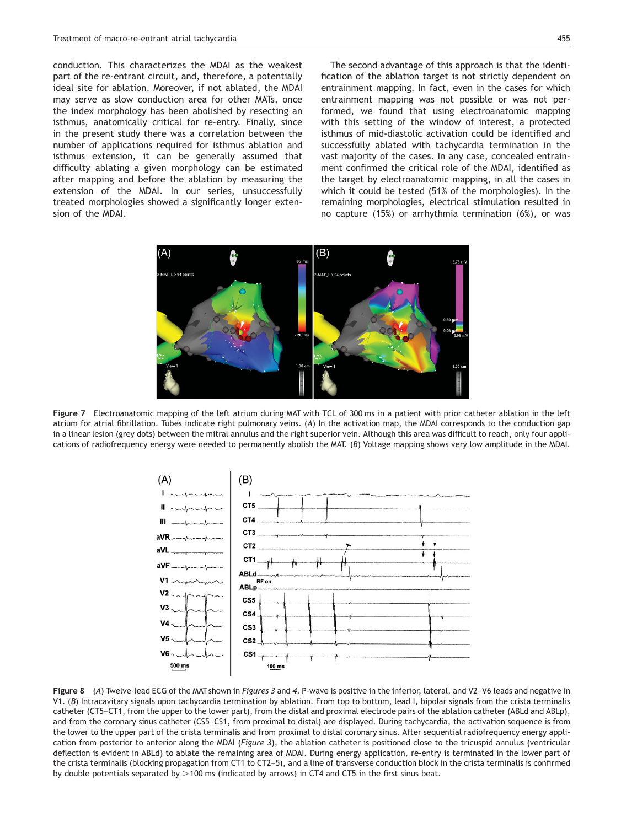sion of the MDAI.

conduction. This characterizes the MDAI as the weakest part of the re-entrant circuit, and, therefore, a potentially ideal site for ablation. Moreover, if not ablated, the MDAI may serve as slow conduction area for other MATs, once the index morphology has been abolished by resecting an isthmus, anatomically critical for re-entry. Finally, since in the present study there was a correlation between the number of applications required for isthmus ablation and isthmus extension, it can be generally assumed that difficulty ablating a given morphology can be estimated after mapping and before the ablation by measuring the extension of the MDAI. In our series, unsuccessfully treated morphologies showed a significantly longer exten-

The second advantage of this approach is that the identification of the ablation target is not strictly dependent on entrainment mapping. In fact, even in the cases for which entrainment mapping was not possible or was not performed, we found that using electroanatomic mapping with this setting of the window of interest, a protected isthmus of mid-diastolic activation could be identified and successfully ablated with tachycardia termination in the vast majority of the cases. In any case, concealed entrainment confirmed the critical role of the MDAI, identified as the target by electroanatomic mapping, in all the cases in which it could be tested (51% of the morphologies). In the remaining morphologies, electrical stimulation resulted in no capture (15%) or arrhythmia termination (6%), or was



Figure 7 Electroanatomic mapping of the left atrium during MAT with TCL of 300 ms in a patient with prior catheter ablation in the left atrium for atrial fibrillation. Tubes indicate right pulmonary veins. (A) In the activation map, the MDAI corresponds to the conduction gap in a linear lesion (grey dots) between the mitral annulus and the right superior vein. Although this area was difficult to reach, only four applications of radiofrequency energy were needed to permanently abolish the MAT. (B) Voltage mapping shows very low amplitude in the MDAI.



Figure 8 (A) Twelve-lead ECG of the MAT shown in Figures 3 and 4. P-wave is positive in the inferior, lateral, and V2-V6 leads and negative in V1. (B) Intracavitary signals upon tachycardia termination by ablation. From top to bottom, lead I, bipolar signals from the crista terminalis catheter (CT5–CT1, from the upper to the lower part), from the distal and proximal electrode pairs of the ablation catheter (ABLd and ABLp), and from the coronary sinus catheter (CS5–CS1, from proximal to distal) are displayed. During tachycardia, the activation sequence is from the lower to the upper part of the crista terminalis and from proximal to distal coronary sinus. After sequential radiofrequency energy application from posterior to anterior along the MDAI (Figure 3), the ablation catheter is positioned close to the tricuspid annulus (ventricular deflection is evident in ABLd) to ablate the remaining area of MDAI. During energy application, re-entry is terminated in the lower part of the crista terminalis (blocking propagation from CT1 to CT2–5), and a line of transverse conduction block in the crista terminalis is confirmed by double potentials separated by  $>100$  ms (indicated by arrows) in CT4 and CT5 in the first sinus beat.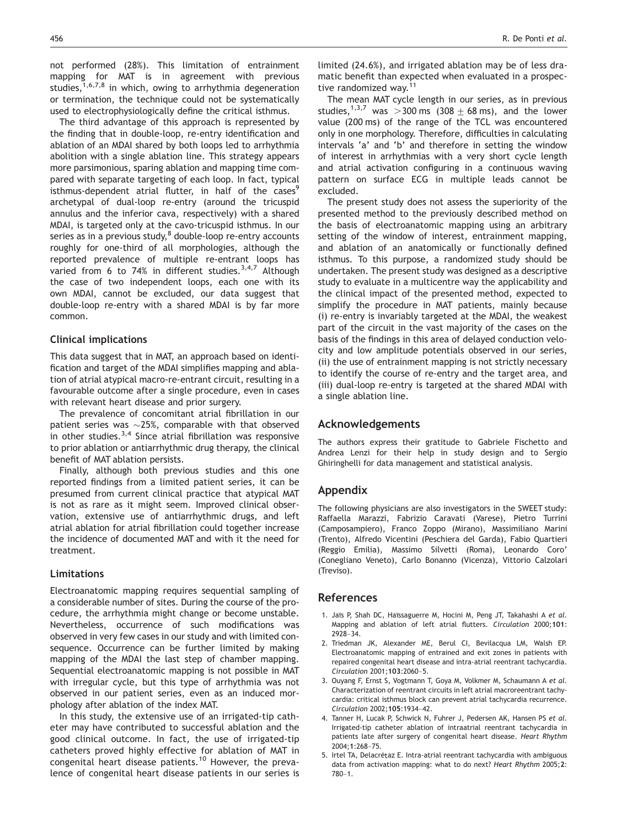not performed (28%). This limitation of entrainment mapping for MAT is in agreement with previous studies, $1,6,7,8$  in which, owing to arrhythmia degeneration or termination, the technique could not be systematically used to electrophysiologically define the critical isthmus.

The third advantage of this approach is represented by the finding that in double-loop, re-entry identification and ablation of an MDAI shared by both loops led to arrhythmia abolition with a single ablation line. This strategy appears more parsimonious, sparing ablation and mapping time compared with separate targeting of each loop. In fact, typical isthmus-dependent atrial flutter, in half of the cases<sup>9</sup> archetypal of dual-loop re-entry (around the tricuspid annulus and the inferior cava, respectively) with a shared MDAI, is targeted only at the cavo-tricuspid isthmus. In our series as in a previous study, $8$  double-loop re-entry accounts roughly for one-third of all morphologies, although the reported prevalence of multiple re-entrant loops has varied from 6 to 74% in different studies.  $3,4,7$  Although the case of two independent loops, each one with its own MDAI, cannot be excluded, our data suggest that double-loop re-entry with a shared MDAI is by far more common.

# Clinical implications

This data suggest that in MAT, an approach based on identification and target of the MDAI simplifies mapping and ablation of atrial atypical macro-re-entrant circuit, resulting in a favourable outcome after a single procedure, even in cases with relevant heart disease and prior surgery.

The prevalence of concomitant atrial fibrillation in our patient series was  ${\sim}{25\%},$  comparable with that observed in other studies. $3,4$  Since atrial fibrillation was responsive to prior ablation or antiarrhythmic drug therapy, the clinical benefit of MAT ablation persists.

Finally, although both previous studies and this one reported findings from a limited patient series, it can be presumed from current clinical practice that atypical MAT is not as rare as it might seem. Improved clinical observation, extensive use of antiarrhythmic drugs, and left atrial ablation for atrial fibrillation could together increase the incidence of documented MAT and with it the need for treatment.

# Limitations

Electroanatomic mapping requires sequential sampling of a considerable number of sites. During the course of the procedure, the arrhythmia might change or become unstable. Nevertheless, occurrence of such modifications was observed in very few cases in our study and with limited consequence. Occurrence can be further limited by making mapping of the MDAI the last step of chamber mapping. Sequential electroanatomic mapping is not possible in MAT with irregular cycle, but this type of arrhythmia was not observed in our patient series, even as an induced morphology after ablation of the index MAT.

In this study, the extensive use of an irrigated-tip catheter may have contributed to successful ablation and the good clinical outcome. In fact, the use of irrigated-tip catheters proved highly effective for ablation of MAT in congenital heart disease patients.<sup>10</sup> However, the prevalence of congenital heart disease patients in our series is limited (24.6%), and irrigated ablation may be of less dramatic benefit than expected when evaluated in a prospective randomized way.<sup>11</sup>

The mean MAT cycle length in our series, as in previous studies,<sup>1,3,7</sup> was > 300 ms (308  $\pm$  68 ms), and the lower value (200 ms) of the range of the TCL was encountered only in one morphology. Therefore, difficulties in calculating intervals 'a' and 'b' and therefore in setting the window of interest in arrhythmias with a very short cycle length and atrial activation configuring in a continuous waving pattern on surface ECG in multiple leads cannot be excluded.

The present study does not assess the superiority of the presented method to the previously described method on the basis of electroanatomic mapping using an arbitrary setting of the window of interest, entrainment mapping, and ablation of an anatomically or functionally defined isthmus. To this purpose, a randomized study should be undertaken. The present study was designed as a descriptive study to evaluate in a multicentre way the applicability and the clinical impact of the presented method, expected to simplify the procedure in MAT patients, mainly because (i) re-entry is invariably targeted at the MDAI, the weakest part of the circuit in the vast majority of the cases on the basis of the findings in this area of delayed conduction velocity and low amplitude potentials observed in our series, (ii) the use of entrainment mapping is not strictly necessary to identify the course of re-entry and the target area, and (iii) dual-loop re-entry is targeted at the shared MDAI with a single ablation line.

#### Acknowledgements

The authors express their gratitude to Gabriele Fischetto and Andrea Lenzi for their help in study design and to Sergio Ghiringhelli for data management and statistical analysis.

## Appendix

The following physicians are also investigators in the SWEET study: Raffaella Marazzi, Fabrizio Caravati (Varese), Pietro Turrini (Camposampiero), Franco Zoppo (Mirano), Massimiliano Marini (Trento), Alfredo Vicentini (Peschiera del Garda), Fabio Quartieri (Reggio Emilia), Massimo Silvetti (Roma), Leonardo Coro' (Conegliano Veneto), Carlo Bonanno (Vicenza), Vittorio Calzolari (Treviso).

#### References

- 1. Jaïs P, Shah DC, Haïssaguerre M, Hocini M, Peng JT, Takahashi A et al. Mapping and ablation of left atrial flutters. Circulation 2000;101: 2928–34.
- 2. Triedman JK, Alexander ME, Berul CI, Bevilacqua LM, Walsh EP. Electroanatomic mapping of entrained and exit zones in patients with repaired congenital heart disease and intra-atrial reentrant tachycardia. Circulation 2001;<sup>103</sup>:2060–5.
- 3. Ouyang F, Ernst S, Vogtmann T, Goya M, Volkmer M, Schaumann A et al. Characterization of reentrant circuits in left atrial macroreentrant tachycardia: critical isthmus block can prevent atrial tachycardia recurrence. Circulation 2002;<sup>105</sup>:1934–42.
- 4. Tanner H, Lucak P, Schwick N, Fuhrer J, Pedersen AK, Hansen PS et al. Irrigated-tip catheter ablation of intraatrial reentrant tachycardia in patients late after surgery of congenital heart disease. Heart Rhythm 2004;<sup>1</sup>:268–75.
- 5. Irtel TA, Delacrétaz E. Intra-atrial reentrant tachycardia with ambiguous data from activation mapping: what to do next? Heart Rhythm 2005;2: 780–1.